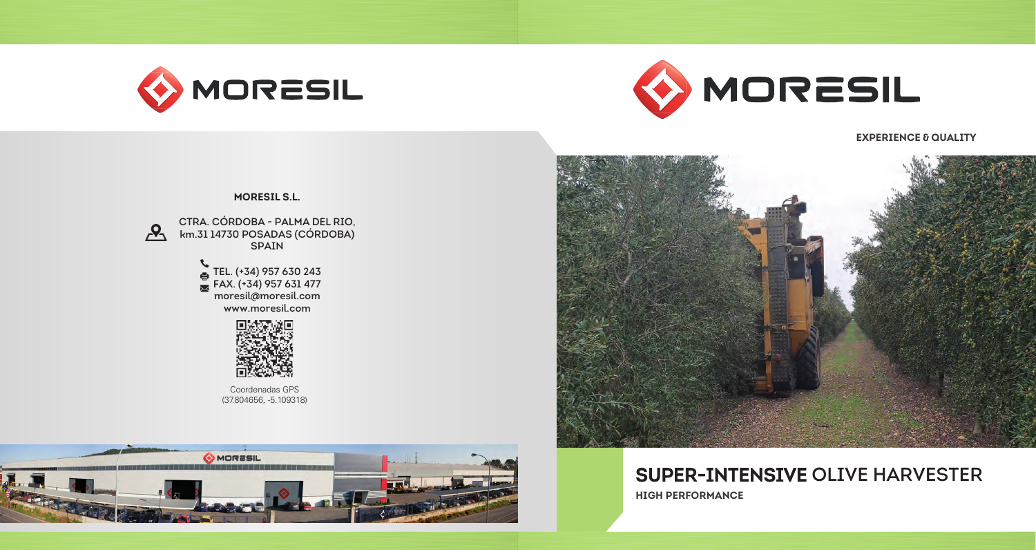





TEL. (+34) 957 630 243  $R_{\overline{3}}$  FAX. (+34) 957 631 477 moresil@moresil.com www.moresil.com



Coordenadas GPS (37.804656, -5.109318)





### **EXPERIENCE & QUALITY**

# SUPER-INTENSIVE OLIVE HARVESTER